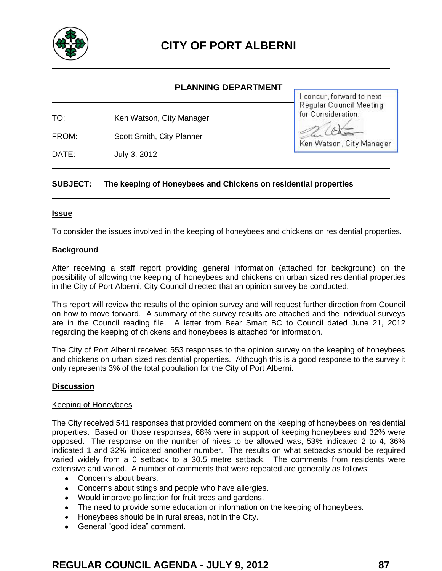

# **PLANNING DEPARTMENT**

TO: Ken Watson, City Manager

FROM: Scott Smith, City Planner

DATE: July 3, 2012

concur, forward to next Regular Council Meeting for Consideration:

Ken Watson, City Manager

# **SUBJECT: The keeping of Honeybees and Chickens on residential properties**

#### **Issue**

To consider the issues involved in the keeping of honeybees and chickens on residential properties.

#### **Background**

After receiving a staff report providing general information (attached for background) on the possibility of allowing the keeping of honeybees and chickens on urban sized residential properties in the City of Port Alberni, City Council directed that an opinion survey be conducted.

This report will review the results of the opinion survey and will request further direction from Council on how to move forward. A summary of the survey results are attached and the individual surveys are in the Council reading file. A letter from Bear Smart BC to Council dated June 21, 2012 regarding the keeping of chickens and honeybees is attached for information.

The City of Port Alberni received 553 responses to the opinion survey on the keeping of honeybees and chickens on urban sized residential properties. Although this is a good response to the survey it only represents 3% of the total population for the City of Port Alberni.

#### **Discussion**

#### Keeping of Honeybees

The City received 541 responses that provided comment on the keeping of honeybees on residential properties. Based on those responses, 68% were in support of keeping honeybees and 32% were opposed. The response on the number of hives to be allowed was, 53% indicated 2 to 4, 36% indicated 1 and 32% indicated another number. The results on what setbacks should be required varied widely from a 0 setback to a 30.5 metre setback. The comments from residents were extensive and varied. A number of comments that were repeated are generally as follows:

- Concerns about bears.
- Concerns about stings and people who have allergies.
- Would improve pollination for fruit trees and gardens.
- The need to provide some education or information on the keeping of honeybees.
- Honeybees should be in rural areas, not in the City.
- General "good idea" comment.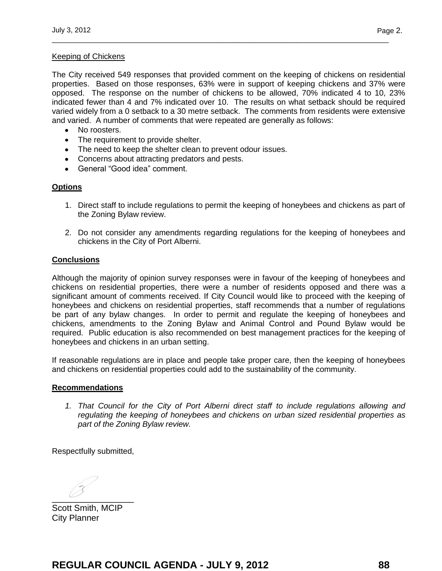# Keeping of Chickens

The City received 549 responses that provided comment on the keeping of chickens on residential properties. Based on those responses, 63% were in support of keeping chickens and 37% were opposed. The response on the number of chickens to be allowed, 70% indicated 4 to 10, 23% indicated fewer than 4 and 7% indicated over 10. The results on what setback should be required varied widely from a 0 setback to a 30 metre setback. The comments from residents were extensive and varied. A number of comments that were repeated are generally as follows:

\_\_\_\_\_\_\_\_\_\_\_\_\_\_\_\_\_\_\_\_\_\_\_\_\_\_\_\_\_\_\_\_\_\_\_\_\_\_\_\_\_\_\_\_\_\_\_\_\_\_\_\_\_\_\_\_\_\_\_\_\_\_\_\_\_\_\_\_\_\_\_\_\_\_\_\_\_\_\_\_\_\_\_\_

- No roosters.
- The requirement to provide shelter.
- The need to keep the shelter clean to prevent odour issues.
- Concerns about attracting predators and pests.
- General "Good idea" comment.

# **Options**

- 1. Direct staff to include regulations to permit the keeping of honeybees and chickens as part of the Zoning Bylaw review.
- 2. Do not consider any amendments regarding regulations for the keeping of honeybees and chickens in the City of Port Alberni.

# **Conclusions**

Although the majority of opinion survey responses were in favour of the keeping of honeybees and chickens on residential properties, there were a number of residents opposed and there was a significant amount of comments received. If City Council would like to proceed with the keeping of honeybees and chickens on residential properties, staff recommends that a number of regulations be part of any bylaw changes.In order to permit and regulate the keeping of honeybees and chickens, amendments to the Zoning Bylaw and Animal Control and Pound Bylaw would be required.Public education is also recommended on best management practices for the keeping of honeybees and chickens in an urban setting.

If reasonable regulations are in place and people take proper care, then the keeping of honeybees and chickens on residential properties could add to the sustainability of the community.

# **Recommendations**

*1. That Council for the City of Port Alberni direct staff to include regulations allowing and regulating the keeping of honeybees and chickens on urban sized residential properties as part of the Zoning Bylaw review.* 

Respectfully submitted,

 $\overline{\phantom{a}}$ 

Scott Smith, MCIP City Planner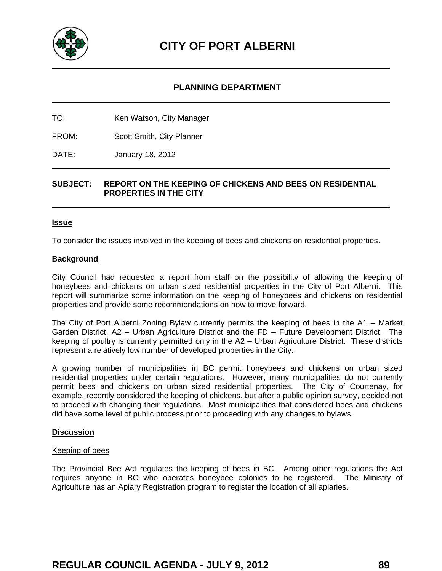

# **PLANNING DEPARTMENT**

TO: Ken Watson, City Manager

FROM: Scott Smith, City Planner

DATE: January 18, 2012

# **SUBJECT: REPORT ON THE KEEPING OF CHICKENS AND BEES ON RESIDENTIAL PROPERTIES IN THE CITY**

#### **Issue**

To consider the issues involved in the keeping of bees and chickens on residential properties.

#### **Background**

City Council had requested a report from staff on the possibility of allowing the keeping of honeybees and chickens on urban sized residential properties in the City of Port Alberni. This report will summarize some information on the keeping of honeybees and chickens on residential properties and provide some recommendations on how to move forward.

The City of Port Alberni Zoning Bylaw currently permits the keeping of bees in the A1 – Market Garden District, A2 – Urban Agriculture District and the FD – Future Development District. The keeping of poultry is currently permitted only in the A2 – Urban Agriculture District. These districts represent a relatively low number of developed properties in the City.

A growing number of municipalities in BC permit honeybees and chickens on urban sized residential properties under certain regulations. However, many municipalities do not currently permit bees and chickens on urban sized residential properties. The City of Courtenay, for example, recently considered the keeping of chickens, but after a public opinion survey, decided not to proceed with changing their regulations. Most municipalities that considered bees and chickens did have some level of public process prior to proceeding with any changes to bylaws.

#### **Discussion**

#### Keeping of bees

The Provincial Bee Act regulates the keeping of bees in BC. Among other regulations the Act requires anyone in BC who operates honeybee colonies to be registered. The Ministry of Agriculture has an Apiary Registration program to register the location of all apiaries.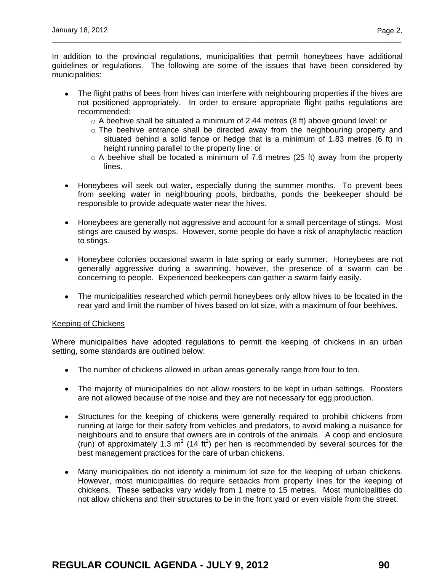In addition to the provincial regulations, municipalities that permit honeybees have additional guidelines or regulations. The following are some of the issues that have been considered by municipalities:

\_\_\_\_\_\_\_\_\_\_\_\_\_\_\_\_\_\_\_\_\_\_\_\_\_\_\_\_\_\_\_\_\_\_\_\_\_\_\_\_\_\_\_\_\_\_\_\_\_\_\_\_\_\_\_\_\_\_\_\_\_\_\_\_\_\_\_\_\_\_\_\_\_\_\_\_\_\_\_\_\_\_\_\_\_\_\_

- The flight paths of bees from hives can interfere with neighbouring properties if the hives are not positioned appropriately. In order to ensure appropriate flight paths regulations are recommended:
	- $\circ$  A beehive shall be situated a minimum of 2.44 metres (8 ft) above ground level: or
	- o The beehive entrance shall be directed away from the neighbouring property and situated behind a solid fence or hedge that is a minimum of 1.83 metres (6 ft) in height running parallel to the property line: or
	- $\circ$  A beehive shall be located a minimum of 7.6 metres (25 ft) away from the property lines.
- Honeybees will seek out water, especially during the summer months. To prevent bees from seeking water in neighbouring pools, birdbaths, ponds the beekeeper should be responsible to provide adequate water near the hives.
- Honeybees are generally not aggressive and account for a small percentage of stings. Most stings are caused by wasps. However, some people do have a risk of anaphylactic reaction to stings.
- Honeybee colonies occasional swarm in late spring or early summer. Honeybees are not generally aggressive during a swarming, however, the presence of a swarm can be concerning to people. Experienced beekeepers can gather a swarm fairly easily.
- The municipalities researched which permit honeybees only allow hives to be located in the rear yard and limit the number of hives based on lot size, with a maximum of four beehives.

# Keeping of Chickens

Where municipalities have adopted regulations to permit the keeping of chickens in an urban setting, some standards are outlined below:

- The number of chickens allowed in urban areas generally range from four to ten.
- The majority of municipalities do not allow roosters to be kept in urban settings. Roosters are not allowed because of the noise and they are not necessary for egg production.
- Structures for the keeping of chickens were generally required to prohibit chickens from running at large for their safety from vehicles and predators, to avoid making a nuisance for neighbours and to ensure that owners are in controls of the animals. A coop and enclosure (run) of approximately 1.3 m<sup>2</sup> (14 ft<sup>2</sup>) per hen is recommended by several sources for the best management practices for the care of urban chickens.
- Many municipalities do not identify a minimum lot size for the keeping of urban chickens. However, most municipalities do require setbacks from property lines for the keeping of chickens. These setbacks vary widely from 1 metre to 15 metres. Most municipalities do not allow chickens and their structures to be in the front yard or even visible from the street.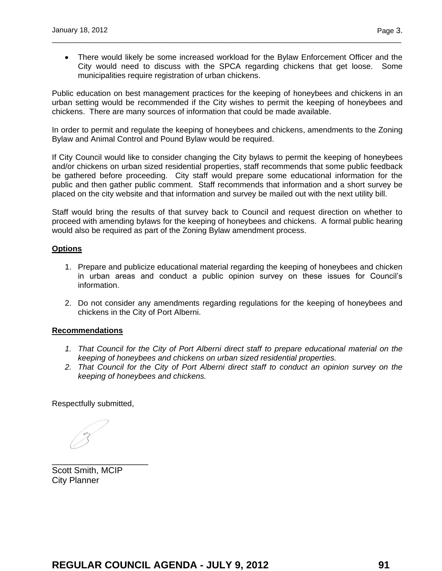There would likely be some increased workload for the Bylaw Enforcement Officer and the City would need to discuss with the SPCA regarding chickens that get loose. Some municipalities require registration of urban chickens.

\_\_\_\_\_\_\_\_\_\_\_\_\_\_\_\_\_\_\_\_\_\_\_\_\_\_\_\_\_\_\_\_\_\_\_\_\_\_\_\_\_\_\_\_\_\_\_\_\_\_\_\_\_\_\_\_\_\_\_\_\_\_\_\_\_\_\_\_\_\_\_\_\_\_\_\_\_\_\_\_\_\_\_\_\_\_\_

Public education on best management practices for the keeping of honeybees and chickens in an urban setting would be recommended if the City wishes to permit the keeping of honeybees and chickens. There are many sources of information that could be made available.

In order to permit and regulate the keeping of honeybees and chickens, amendments to the Zoning Bylaw and Animal Control and Pound Bylaw would be required.

If City Council would like to consider changing the City bylaws to permit the keeping of honeybees and/or chickens on urban sized residential properties, staff recommends that some public feedback be gathered before proceeding. City staff would prepare some educational information for the public and then gather public comment. Staff recommends that information and a short survey be placed on the city website and that information and survey be mailed out with the next utility bill.

Staff would bring the results of that survey back to Council and request direction on whether to proceed with amending bylaws for the keeping of honeybees and chickens. A formal public hearing would also be required as part of the Zoning Bylaw amendment process.

# **Options**

- 1. Prepare and publicize educational material regarding the keeping of honeybees and chicken in urban areas and conduct a public opinion survey on these issues for Council's information.
- 2. Do not consider any amendments regarding regulations for the keeping of honeybees and chickens in the City of Port Alberni.

# **Recommendations**

- *1. That Council for the City of Port Alberni direct staff to prepare educational material on the keeping of honeybees and chickens on urban sized residential properties.*
- *2. That Council for the City of Port Alberni direct staff to conduct an opinion survey on the keeping of honeybees and chickens.*

Respectfully submitted,

Scott Smith, MCIP City Planner

\_\_\_\_\_\_\_\_\_\_\_\_\_\_\_\_\_\_\_\_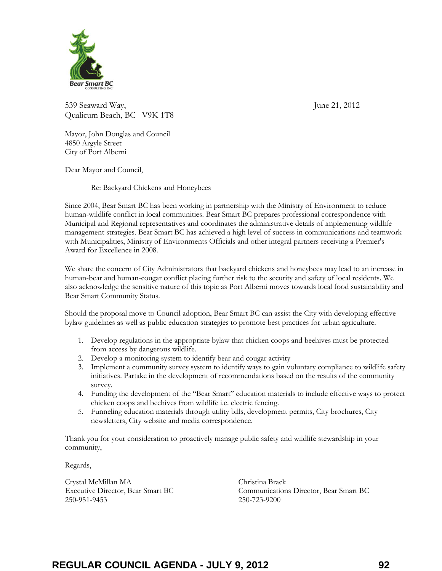

539 Seaward Way, June 21, 2012 Qualicum Beach, BC V9K 1T8

Mayor, John Douglas and Council 4850 Argyle Street City of Port Alberni

Dear Mayor and Council,

Re: Backyard Chickens and Honeybees

Since 2004, Bear Smart BC has been working in partnership with the Ministry of Environment to reduce human-wildlife conflict in local communities. Bear Smart BC prepares professional correspondence with Municipal and Regional representatives and coordinates the administrative details of implementing wildlife management strategies. Bear Smart BC has achieved a high level of success in communications and teamwork with Municipalities, Ministry of Environments Officials and other integral partners receiving a Premier's Award for Excellence in 2008.

We share the concern of City Administrators that backyard chickens and honeybees may lead to an increase in human-bear and human-cougar conflict placing further risk to the security and safety of local residents. We also acknowledge the sensitive nature of this topic as Port Alberni moves towards local food sustainability and Bear Smart Community Status.

Should the proposal move to Council adoption, Bear Smart BC can assist the City with developing effective bylaw guidelines as well as public education strategies to promote best practices for urban agriculture.

- 1. Develop regulations in the appropriate bylaw that chicken coops and beehives must be protected from access by dangerous wildlife.
- 2. Develop a monitoring system to identify bear and cougar activity
- 3. Implement a community survey system to identify ways to gain voluntary compliance to wildlife safety initiatives. Partake in the development of recommendations based on the results of the community survey.
- 4. Funding the development of the "Bear Smart" education materials to include effective ways to protect chicken coops and beehives from wildlife i.e. electric fencing.
- 5. Funneling education materials through utility bills, development permits, City brochures, City newsletters, City website and media correspondence.

Thank you for your consideration to proactively manage public safety and wildlife stewardship in your community,

Regards,

Crystal McMillan MA Executive Director, Bear Smart BC 250-951-9453

Christina Brack Communications Director, Bear Smart BC 250-723-9200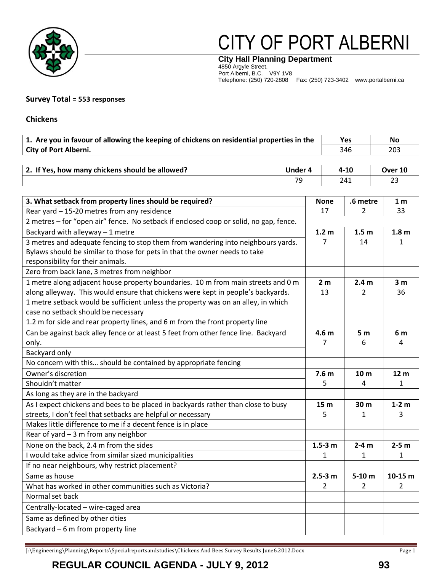

# CITY OF PORT ALBERNI

**City Hall Planning Department** 4850 Argyle Street, Port Alberni, B.C. V9Y 1V8 Telephone: (250) 720-2808 Fax: (250) 723-3402 www.portalberni.ca

#### **Survey Total = 553 responses**

**Chickens** 

| 1. Are you in favour of allowing the keeping of chickens on residential properties in the | Yes | No  |
|-------------------------------------------------------------------------------------------|-----|-----|
| <b>City of Port Alberni.</b>                                                              | 346 | 203 |

| . If Yes, how many chickens should be allowed?<br>2. If | Jnder 4 | 4-10 | Over 10       |
|---------------------------------------------------------|---------|------|---------------|
|                                                         | 7c<br>- | 241  | $\sim$<br>ں ے |

| 3. What setback from property lines should be required?                               |                  | .6 metre         | 1 <sub>m</sub>   |
|---------------------------------------------------------------------------------------|------------------|------------------|------------------|
| Rear yard - 15-20 metres from any residence                                           |                  | $\overline{2}$   | 33               |
| 2 metres - for "open air" fence. No setback if enclosed coop or solid, no gap, fence. |                  |                  |                  |
| Backyard with alleyway $-1$ metre                                                     | 1.2 <sub>m</sub> | 1.5 <sub>m</sub> | 1.8 <sub>m</sub> |
| 3 metres and adequate fencing to stop them from wandering into neighbours yards.      | 7                | 14               | 1                |
| Bylaws should be similar to those for pets in that the owner needs to take            |                  |                  |                  |
| responsibility for their animals.                                                     |                  |                  |                  |
| Zero from back lane, 3 metres from neighbor                                           |                  |                  |                  |
| 1 metre along adjacent house property boundaries. 10 m from main streets and 0 m      | 2 <sub>m</sub>   | 2.4 <sub>m</sub> | 3 <sub>m</sub>   |
| along alleyway. This would ensure that chickens were kept in people's backyards.      | 13               | 2                | 36               |
| 1 metre setback would be sufficient unless the property was on an alley, in which     |                  |                  |                  |
| case no setback should be necessary                                                   |                  |                  |                  |
| 1.2 m for side and rear property lines, and 6 m from the front property line          |                  |                  |                  |
| Can be against back alley fence or at least 5 feet from other fence line. Backyard    | 4.6 <sub>m</sub> | 5 <sub>m</sub>   | 6 m              |
| only.                                                                                 | 7                | 6                | 4                |
| Backyard only                                                                         |                  |                  |                  |
| No concern with this should be contained by appropriate fencing                       |                  |                  |                  |
| Owner's discretion                                                                    | 7.6 <sub>m</sub> | 10 <sub>m</sub>  | 12 <sub>m</sub>  |
| Shouldn't matter                                                                      |                  | 4                | $\mathbf{1}$     |
| As long as they are in the backyard                                                   |                  |                  |                  |
| As I expect chickens and bees to be placed in backyards rather than close to busy     | 15 <sub>m</sub>  | 30 m             | $1-2$ m          |
| streets, I don't feel that setbacks are helpful or necessary                          | 5                | 1                | 3                |
| Makes little difference to me if a decent fence is in place                           |                  |                  |                  |
| Rear of yard $-3$ m from any neighbor                                                 |                  |                  |                  |
| None on the back, 2.4 m from the sides                                                |                  | $2-4m$           | $2-5$ m          |
| I would take advice from similar sized municipalities                                 | 1                | 1                | 1                |
| If no near neighbours, why restrict placement?                                        |                  |                  |                  |
| Same as house                                                                         |                  | $5-10$ m         | $10-15$ m        |
| What has worked in other communities such as Victoria?                                |                  | 2                | $\overline{2}$   |
| Normal set back                                                                       |                  |                  |                  |
| Centrally-located - wire-caged area                                                   |                  |                  |                  |
| Same as defined by other cities                                                       |                  |                  |                  |
| Backyard $-6$ m from property line                                                    |                  |                  |                  |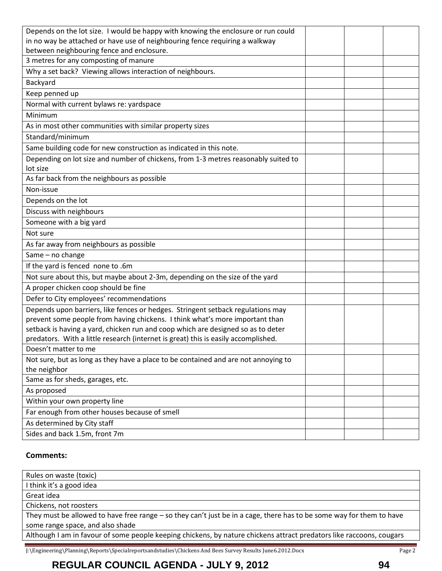| Depends on the lot size. I would be happy with knowing the enclosure or run could              |  |  |
|------------------------------------------------------------------------------------------------|--|--|
| in no way be attached or have use of neighbouring fence requiring a walkway                    |  |  |
| between neighbouring fence and enclosure.                                                      |  |  |
| 3 metres for any composting of manure                                                          |  |  |
| Why a set back? Viewing allows interaction of neighbours.                                      |  |  |
| Backyard                                                                                       |  |  |
| Keep penned up                                                                                 |  |  |
| Normal with current bylaws re: yardspace                                                       |  |  |
| Minimum                                                                                        |  |  |
| As in most other communities with similar property sizes                                       |  |  |
| Standard/minimum                                                                               |  |  |
| Same building code for new construction as indicated in this note.                             |  |  |
| Depending on lot size and number of chickens, from 1-3 metres reasonably suited to<br>lot size |  |  |
| As far back from the neighbours as possible                                                    |  |  |
| Non-issue                                                                                      |  |  |
| Depends on the lot                                                                             |  |  |
| Discuss with neighbours                                                                        |  |  |
| Someone with a big yard                                                                        |  |  |
| Not sure                                                                                       |  |  |
| As far away from neighbours as possible                                                        |  |  |
| Same - no change                                                                               |  |  |
| If the yard is fenced none to .6m                                                              |  |  |
| Not sure about this, but maybe about 2-3m, depending on the size of the yard                   |  |  |
| A proper chicken coop should be fine                                                           |  |  |
| Defer to City employees' recommendations                                                       |  |  |
| Depends upon barriers, like fences or hedges. Stringent setback regulations may                |  |  |
| prevent some people from having chickens. I think what's more important than                   |  |  |
| setback is having a yard, chicken run and coop which are designed so as to deter               |  |  |
| predators. With a little research (internet is great) this is easily accomplished.             |  |  |
| Doesn't matter to me                                                                           |  |  |
| Not sure, but as long as they have a place to be contained and are not annoying to             |  |  |
| the neighbor                                                                                   |  |  |
| Same as for sheds, garages, etc.                                                               |  |  |
| As proposed                                                                                    |  |  |
| Within your own property line                                                                  |  |  |
| Far enough from other houses because of smell                                                  |  |  |
| As determined by City staff                                                                    |  |  |
| Sides and back 1.5m, front 7m                                                                  |  |  |

#### **Comments:**

| Rules on waste (toxic)                                                                                               |
|----------------------------------------------------------------------------------------------------------------------|
| I think it's a good idea                                                                                             |
| Great idea                                                                                                           |
| Chickens, not roosters                                                                                               |
| They must be allowed to have free range – so they can't just be in a cage, there has to be some way for them to have |
| some range space, and also shade                                                                                     |
| Although I am in favour of some people keeping chickens, by nature chickens attract predators like raccoons, cougars |
|                                                                                                                      |

J:\Engineering\Planning\Reports\Specialreportsandstudies\Chickens And Bees Survey Results June6.2012.Docx Page 2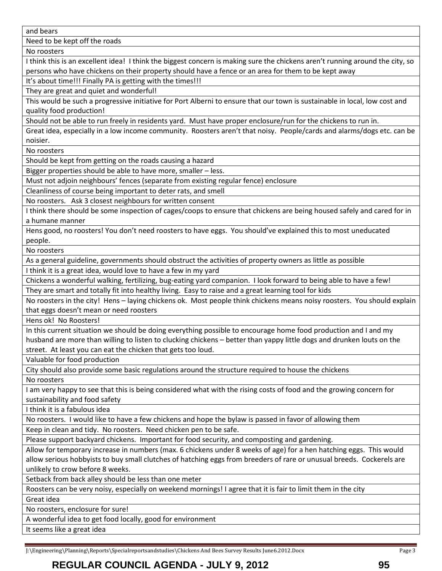and bears

Need to be kept off the roads

No roosters

I think this is an excellent idea! I think the biggest concern is making sure the chickens aren't running around the city, so persons who have chickens on their property should have a fence or an area for them to be kept away

It's about time!!! Finally PA is getting with the times!!!

They are great and quiet and wonderful!

This would be such a progressive initiative for Port Alberni to ensure that our town is sustainable in local, low cost and quality food production!

Should not be able to run freely in residents yard. Must have proper enclosure/run for the chickens to run in.

Great idea, especially in a low income community. Roosters aren't that noisy. People/cards and alarms/dogs etc. can be noisier.

No roosters

Should be kept from getting on the roads causing a hazard

Bigger properties should be able to have more, smaller – less.

Must not adjoin neighbours' fences (separate from existing regular fence) enclosure

Cleanliness of course being important to deter rats, and smell

No roosters. Ask 3 closest neighbours for written consent

I think there should be some inspection of cages/coops to ensure that chickens are being housed safely and cared for in a humane manner

Hens good, no roosters! You don't need roosters to have eggs. You should've explained this to most uneducated people.

No roosters

As a general guideline, governments should obstruct the activities of property owners as little as possible

I think it is a great idea, would love to have a few in my yard

Chickens a wonderful walking, fertilizing, bug-eating yard companion. I look forward to being able to have a few! They are smart and totally fit into healthy living. Easy to raise and a great learning tool for kids

No roosters in the city! Hens – laying chickens ok. Most people think chickens means noisy roosters. You should explain that eggs doesn't mean or need roosters

Hens ok! No Roosters!

In this current situation we should be doing everything possible to encourage home food production and I and my husband are more than willing to listen to clucking chickens – better than yappy little dogs and drunken louts on the street. At least you can eat the chicken that gets too loud.

Valuable for food production

City should also provide some basic regulations around the structure required to house the chickens

No roosters

I am very happy to see that this is being considered what with the rising costs of food and the growing concern for sustainability and food safety

I think it is a fabulous idea

No roosters. I would like to have a few chickens and hope the bylaw is passed in favor of allowing them

Keep in clean and tidy. No roosters. Need chicken pen to be safe.

Please support backyard chickens. Important for food security, and composting and gardening.

Allow for temporary increase in numbers (max. 6 chickens under 8 weeks of age) for a hen hatching eggs. This would allow serious hobbyists to buy small clutches of hatching eggs from breeders of rare or unusual breeds. Cockerels are unlikely to crow before 8 weeks.

Setback from back alley should be less than one meter

Roosters can be very noisy, especially on weekend mornings! I agree that it is fair to limit them in the city Great idea

No roosters, enclosure for sure!

A wonderful idea to get food locally, good for environment

It seems like a great idea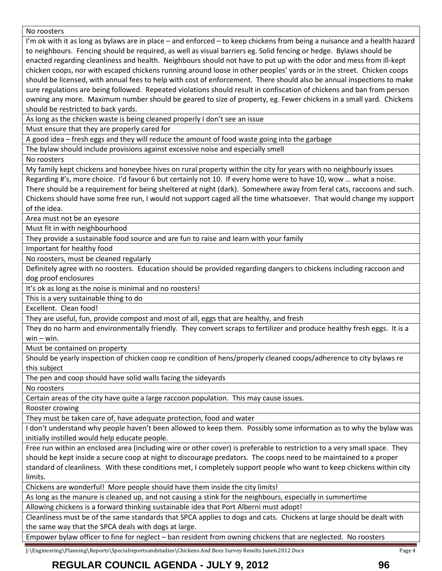No roosters

I'm ok with it as long as bylaws are in place – and enforced – to keep chickens from being a nuisance and a health hazard to neighbours. Fencing should be required, as well as visual barriers eg. Solid fencing or hedge. Bylaws should be enacted regarding cleanliness and health. Neighbours should not have to put up with the odor and mess from ill-kept chicken coops, nor with escaped chickens running around loose in other peoples' yards or in the street. Chicken coops should be licensed, with annual fees to help with cost of enforcement. There should also be annual inspections to make sure regulations are being followed. Repeated violations should result in confiscation of chickens and ban from person owning any more. Maximum number should be geared to size of property, eg. Fewer chickens in a small yard. Chickens should be restricted to back yards.

As long as the chicken waste is being cleaned properly I don't see an issue

Must ensure that they are properly cared for

A good idea – fresh eggs and they will reduce the amount of food waste going into the garbage

The bylaw should include provisions against excessive noise and especially smell

No roosters

My family kept chickens and honeybee hives on rural property within the city for years with no neighbourly issues

Regarding #'s, more choice. I'd favour 6 but certainly not 10. If every home were to have 10, wow … what a noise. There should be a requirement for being sheltered at night (dark). Somewhere away from feral cats, raccoons and such. Chickens should have some free run, I would not support caged all the time whatsoever. That would change my support of the idea.

Area must not be an eyesore

Must fit in with neighbourhood

They provide a sustainable food source and are fun to raise and learn with your family

Important for healthy food

No roosters, must be cleaned regularly

Definitely agree with no roosters. Education should be provided regarding dangers to chickens including raccoon and dog proof enclosures

It's ok as long as the noise is minimal and no roosters!

This is a very sustainable thing to do

Excellent. Clean food!

They are useful, fun, provide compost and most of all, eggs that are healthy, and fresh

They do no harm and environmentally friendly. They convert scraps to fertilizer and produce healthy fresh eggs. It is a  $win - win$ .

Must be contained on property

Should be yearly inspection of chicken coop re condition of hens/properly cleaned coops/adherence to city bylaws re this subject

The pen and coop should have solid walls facing the sideyards

No roosters

Certain areas of the city have quite a large raccoon population. This may cause issues.

Rooster crowing

They must be taken care of, have adequate protection, food and water

I don't understand why people haven't been allowed to keep them. Possibly some information as to why the bylaw was initially instilled would help educate people.

Free run within an enclosed area (including wire or other cover) is preferable to restriction to a very small space. They should be kept inside a secure coop at night to discourage predators. The coops need to be maintained to a proper standard of cleanliness. With these conditions met, I completely support people who want to keep chickens within city limits.

Chickens are wonderful! More people should have them inside the city limits!

As long as the manure is cleaned up, and not causing a stink for the neighbours, especially in summertime

Allowing chickens is a forward thinking sustainable idea that Port Alberni must adopt!

Cleanliness must be of the same standards that SPCA applies to dogs and cats. Chickens at large should be dealt with the same way that the SPCA deals with dogs at large.

Empower bylaw officer to fine for neglect – ban resident from owning chickens that are neglected. No roosters

J:\Engineering\Planning\Reports\Specialreportsandstudies\Chickens And Bees Survey Results June6.2012.Docx Page 4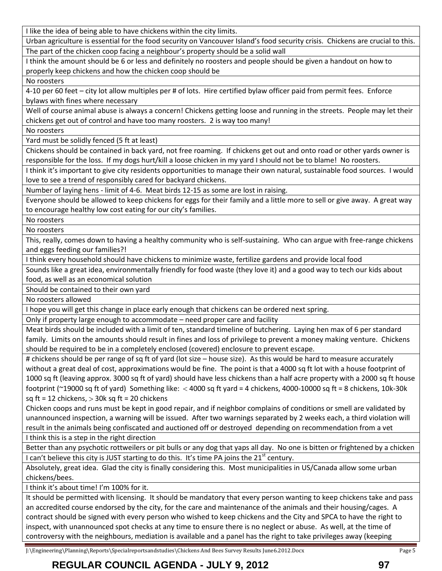I like the idea of being able to have chickens within the city limits.

Urban agriculture is essential for the food security on Vancouver Island's food security crisis. Chickens are crucial to this. The part of the chicken coop facing a neighbour's property should be a solid wall

I think the amount should be 6 or less and definitely no roosters and people should be given a handout on how to properly keep chickens and how the chicken coop should be

No roosters

4-10 per 60 feet – city lot allow multiples per # of lots. Hire certified bylaw officer paid from permit fees. Enforce bylaws with fines where necessary

Well of course animal abuse is always a concern! Chickens getting loose and running in the streets. People may let their chickens get out of control and have too many roosters. 2 is way too many!

No roosters

Yard must be solidly fenced (5 ft at least)

Chickens should be contained in back yard, not free roaming. If chickens get out and onto road or other yards owner is responsible for the loss. If my dogs hurt/kill a loose chicken in my yard I should not be to blame! No roosters.

I think it's important to give city residents opportunities to manage their own natural, sustainable food sources. I would love to see a trend of responsibly cared for backyard chickens.

Number of laying hens - limit of 4-6. Meat birds 12-15 as some are lost in raising.

Everyone should be allowed to keep chickens for eggs for their family and a little more to sell or give away. A great way to encourage healthy low cost eating for our city's families.

No roosters

No roosters

This, really, comes down to having a healthy community who is self-sustaining. Who can argue with free-range chickens and eggs feeding our families?!

I think every household should have chickens to minimize waste, fertilize gardens and provide local food

Sounds like a great idea, environmentally friendly for food waste (they love it) and a good way to tech our kids about food, as well as an economical solution

Should be contained to their own yard

No roosters allowed

I hope you will get this change in place early enough that chickens can be ordered next spring.

Only if property large enough to accommodate – need proper care and facility

Meat birds should be included with a limit of ten, standard timeline of butchering. Laying hen max of 6 per standard family. Limits on the amounts should result in fines and loss of privilege to prevent a money making venture. Chickens should be required to be in a completely enclosed (covered) enclosure to prevent escape.

# chickens should be per range of sq ft of yard (lot size – house size). As this would be hard to measure accurately without a great deal of cost, approximations would be fine. The point is that a 4000 sq ft lot with a house footprint of 1000 sq ft (leaving approx. 3000 sq ft of yard) should have less chickens than a half acre property with a 2000 sq ft house footprint ( $\approx$ 19000 sq ft of yard) Something like: < 4000 sq ft yard = 4 chickens, 4000-10000 sq ft = 8 chickens, 10k-30k sq ft = 12 chickens,  $>$  30k sq ft = 20 chickens

Chicken coops and runs must be kept in good repair, and if neighbor complains of conditions or smell are validated by unannounced inspection, a warning will be issued. After two warnings separated by 2 weeks each, a third violation will result in the animals being confiscated and auctioned off or destroyed depending on recommendation from a vet I think this is a step in the right direction

Better than any psychotic rottweilers or pit bulls or any dog that yaps all day. No one is bitten or frightened by a chicken I can't believe this city is JUST starting to do this. It's time PA joins the  $21<sup>st</sup>$  century.

Absolutely, great idea. Glad the city is finally considering this. Most municipalities in US/Canada allow some urban chickens/bees.

I think it's about time! I'm 100% for it.

It should be permitted with licensing. It should be mandatory that every person wanting to keep chickens take and pass an accredited course endorsed by the city, for the care and maintenance of the animals and their housing/cages. A contract should be signed with every person who wished to keep chickens and the City and SPCA to have the right to inspect, with unannounced spot checks at any time to ensure there is no neglect or abuse. As well, at the time of controversy with the neighbours, mediation is available and a panel has the right to take privileges away (keeping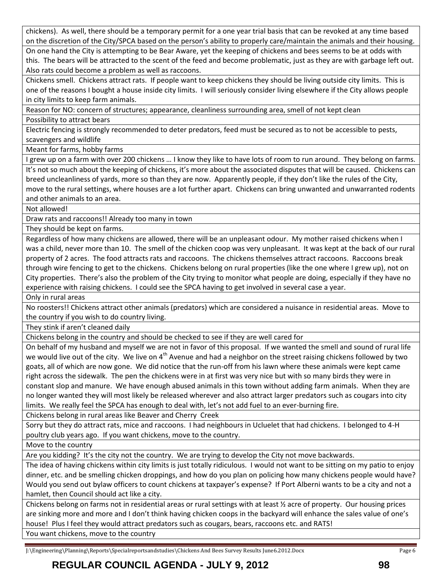chickens). As well, there should be a temporary permit for a one year trial basis that can be revoked at any time based on the discretion of the City/SPCA based on the person's ability to properly care/maintain the animals and their housing.

On one hand the City is attempting to be Bear Aware, yet the keeping of chickens and bees seems to be at odds with this. The bears will be attracted to the scent of the feed and become problematic, just as they are with garbage left out. Also rats could become a problem as well as raccoons.

Chickens smell. Chickens attract rats. If people want to keep chickens they should be living outside city limits. This is one of the reasons I bought a house inside city limits. I will seriously consider living elsewhere if the City allows people in city limits to keep farm animals.

Reason for NO: concern of structures; appearance, cleanliness surrounding area, smell of not kept clean

Possibility to attract bears

Electric fencing is strongly recommended to deter predators, feed must be secured as to not be accessible to pests, scavengers and wildlife

Meant for farms, hobby farms

I grew up on a farm with over 200 chickens ... I know they like to have lots of room to run around. They belong on farms.

It's not so much about the keeping of chickens, it's more about the associated disputes that will be caused. Chickens can breed uncleanliness of yards, more so than they are now. Apparently people, if they don't like the rules of the City, move to the rural settings, where houses are a lot further apart. Chickens can bring unwanted and unwarranted rodents and other animals to an area.

Not allowed!

Draw rats and raccoons!! Already too many in town

They should be kept on farms.

Regardless of how many chickens are allowed, there will be an unpleasant odour. My mother raised chickens when I was a child, never more than 10. The smell of the chicken coop was very unpleasant. It was kept at the back of our rural property of 2 acres. The food attracts rats and raccoons. The chickens themselves attract raccoons. Raccoons break through wire fencing to get to the chickens. Chickens belong on rural properties (like the one where I grew up), not on City properties. There's also the problem of the City trying to monitor what people are doing, especially if they have no experience with raising chickens. I could see the SPCA having to get involved in several case a year.

Only in rural areas

No roosters!! Chickens attract other animals (predators) which are considered a nuisance in residential areas. Move to the country if you wish to do country living.

They stink if aren't cleaned daily

Chickens belong in the country and should be checked to see if they are well cared for

On behalf of my husband and myself we are not in favor of this proposal. If we wanted the smell and sound of rural life we would live out of the city. We live on 4<sup>th</sup> Avenue and had a neighbor on the street raising chickens followed by two goats, all of which are now gone. We did notice that the run-off from his lawn where these animals were kept came right across the sidewalk. The pen the chickens were in at first was very nice but with so many birds they were in constant slop and manure. We have enough abused animals in this town without adding farm animals. When they are no longer wanted they will most likely be released wherever and also attract larger predators such as cougars into city limits. We really feel the SPCA has enough to deal with, let's not add fuel to an ever-burning fire.

Chickens belong in rural areas like Beaver and Cherry Creek

Sorry but they do attract rats, mice and raccoons. I had neighbours in Ucluelet that had chickens. I belonged to 4-H poultry club years ago. If you want chickens, move to the country.

Move to the country

Are you kidding? It's the city not the country. We are trying to develop the City not move backwards.

The idea of having chickens within city limits is just totally ridiculous. I would not want to be sitting on my patio to enjoy dinner, etc. and be smelling chicken droppings, and how do you plan on policing how many chickens people would have? Would you send out bylaw officers to count chickens at taxpayer's expense? If Port Alberni wants to be a city and not a hamlet, then Council should act like a city.

Chickens belong on farms not in residential areas or rural settings with at least ½ acre of property. Our housing prices are sinking more and more and I don't think having chicken coops in the backyard will enhance the sales value of one's house! Plus I feel they would attract predators such as cougars, bears, raccoons etc. and RATS!

You want chickens, move to the country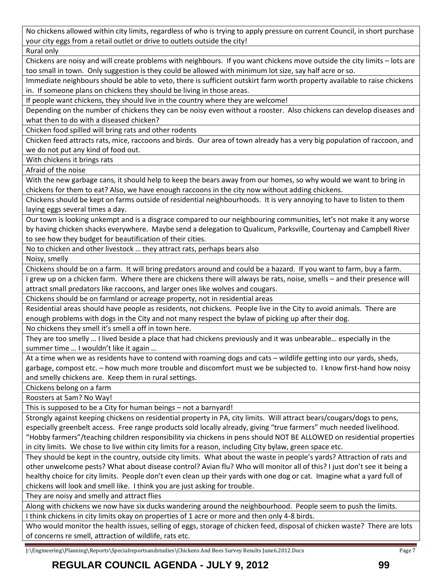No chickens allowed within city limits, regardless of who is trying to apply pressure on current Council, in short purchase your city eggs from a retail outlet or drive to outlets outside the city!

Rural only

Chickens are noisy and will create problems with neighbours. If you want chickens move outside the city limits – lots are too small in town. Only suggestion is they could be allowed with minimum lot size, say half acre or so.

Immediate neighbours should be able to veto, there is sufficient outskirt farm worth property available to raise chickens in. If someone plans on chickens they should be living in those areas.

If people want chickens, they should live in the country where they are welcome!

Depending on the number of chickens they can be noisy even without a rooster. Also chickens can develop diseases and what then to do with a diseased chicken?

Chicken food spilled will bring rats and other rodents

Chicken feed attracts rats, mice, raccoons and birds. Our area of town already has a very big population of raccoon, and we do not put any kind of food out.

With chickens it brings rats

Afraid of the noise

With the new garbage cans, it should help to keep the bears away from our homes, so why would we want to bring in chickens for them to eat? Also, we have enough raccoons in the city now without adding chickens.

Chickens should be kept on farms outside of residential neighbourhoods. It is very annoying to have to listen to them laying eggs several times a day.

Our town is looking unkempt and is a disgrace compared to our neighbouring communities, let's not make it any worse by having chicken shacks everywhere. Maybe send a delegation to Qualicum, Parksville, Courtenay and Campbell River to see how they budget for beautification of their cities.

No to chicken and other livestock … they attract rats, perhaps bears also

Noisy, smelly

Chickens should be on a farm. It will bring predators around and could be a hazard. If you want to farm, buy a farm.

I grew up on a chicken farm. Where there are chickens there will always be rats, noise, smells – and their presence will attract small predators like raccoons, and larger ones like wolves and cougars.

Chickens should be on farmland or acreage property, not in residential areas

Residential areas should have people as residents, not chickens. People live in the City to avoid animals. There are enough problems with dogs in the City and not many respect the bylaw of picking up after their dog.

No chickens they smell it's smell a off in town here.

They are too smelly … I lived beside a place that had chickens previously and it was unbearable… especially in the summer time … I wouldn't like it again …

At a time when we as residents have to contend with roaming dogs and cats – wildlife getting into our yards, sheds, garbage, compost etc. – how much more trouble and discomfort must we be subjected to. I know first-hand how noisy and smelly chickens are. Keep them in rural settings.

Chickens belong on a farm

Roosters at 5am? No Way!

This is supposed to be a City for human beings – not a barnyard!

Strongly against keeping chickens on residential property in PA, city limits. Will attract bears/cougars/dogs to pens, especially greenbelt access. Free range products sold locally already, giving "true farmers" much needed livelihood. "Hobby farmers"/teaching children responsibility via chickens in pens should NOT BE ALLOWED on residential properties in city limits. We chose to live within city limits for a reason, including City bylaw, green space etc.

They should be kept in the country, outside city limits. What about the waste in people's yards? Attraction of rats and other unwelcome pests? What about disease control? Avian flu? Who will monitor all of this? I just don't see it being a healthy choice for city limits. People don't even clean up their yards with one dog or cat. Imagine what a yard full of chickens will look and smell like. I think you are just asking for trouble.

They are noisy and smelly and attract flies

Along with chickens we now have six ducks wandering around the neighbourhood. People seem to push the limits. I think chickens in city limits okay on properties of 1 acre or more and then only 4-8 birds.

Who would monitor the health issues, selling of eggs, storage of chicken feed, disposal of chicken waste? There are lots of concerns re smell, attraction of wildlife, rats etc.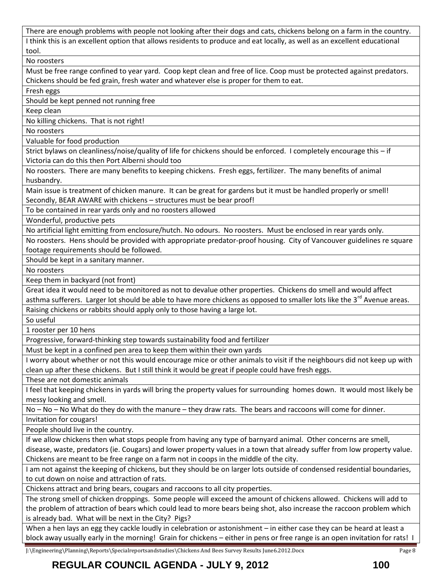There are enough problems with people not looking after their dogs and cats, chickens belong on a farm in the country. I think this is an excellent option that allows residents to produce and eat locally, as well as an excellent educational tool.

No roosters

Must be free range confined to year yard. Coop kept clean and free of lice. Coop must be protected against predators. Chickens should be fed grain, fresh water and whatever else is proper for them to eat.

Fresh eggs

Should be kept penned not running free

Keep clean

No killing chickens. That is not right!

No roosters

Valuable for food production

Strict bylaws on cleanliness/noise/quality of life for chickens should be enforced. I completely encourage this – if Victoria can do this then Port Alberni should too

No roosters. There are many benefits to keeping chickens. Fresh eggs, fertilizer. The many benefits of animal husbandry.

Main issue is treatment of chicken manure. It can be great for gardens but it must be handled properly or smell! Secondly, BEAR AWARE with chickens – structures must be bear proof!

To be contained in rear yards only and no roosters allowed

Wonderful, productive pets

No artificial light emitting from enclosure/hutch. No odours. No roosters. Must be enclosed in rear yards only.

No roosters. Hens should be provided with appropriate predator-proof housing. City of Vancouver guidelines re square footage requirements should be followed.

Should be kept in a sanitary manner.

No roosters

Keep them in backyard (not front)

Great idea it would need to be monitored as not to devalue other properties. Chickens do smell and would affect asthma sufferers. Larger lot should be able to have more chickens as opposed to smaller lots like the 3<sup>rd</sup> Avenue areas.

Raising chickens or rabbits should apply only to those having a large lot.

So useful

1 rooster per 10 hens

Progressive, forward-thinking step towards sustainability food and fertilizer

Must be kept in a confined pen area to keep them within their own yards

I worry about whether or not this would encourage mice or other animals to visit if the neighbours did not keep up with clean up after these chickens. But I still think it would be great if people could have fresh eggs.

These are not domestic animals

I feel that keeping chickens in yards will bring the property values for surrounding homes down. It would most likely be messy looking and smell.

No – No – No What do they do with the manure – they draw rats. The bears and raccoons will come for dinner.

Invitation for cougars!

People should live in the country.

If we allow chickens then what stops people from having any type of barnyard animal. Other concerns are smell,

disease, waste, predators (ie. Cougars) and lower property values in a town that already suffer from low property value. Chickens are meant to be free range on a farm not in coops in the middle of the city.

I am not against the keeping of chickens, but they should be on larger lots outside of condensed residential boundaries, to cut down on noise and attraction of rats.

Chickens attract and bring bears, cougars and raccoons to all city properties.

The strong smell of chicken droppings. Some people will exceed the amount of chickens allowed. Chickens will add to the problem of attraction of bears which could lead to more bears being shot, also increase the raccoon problem which is already bad. What will be next in the City? Pigs?

When a hen lays an egg they cackle loudly in celebration or astonishment – in either case they can be heard at least a block away usually early in the morning! Grain for chickens – either in pens or free range is an open invitation for rats! I

J:\Engineering\Planning\Reports\Specialreportsandstudies\Chickens And Bees Survey Results June6.2012.Docx Page 8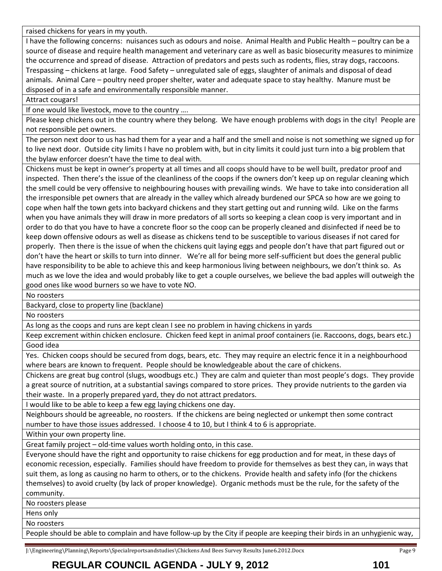raised chickens for years in my youth.

I have the following concerns: nuisances such as odours and noise. Animal Health and Public Health – poultry can be a source of disease and require health management and veterinary care as well as basic biosecurity measures to minimize the occurrence and spread of disease. Attraction of predators and pests such as rodents, flies, stray dogs, raccoons. Trespassing – chickens at large. Food Safety – unregulated sale of eggs, slaughter of animals and disposal of dead animals. Animal Care – poultry need proper shelter, water and adequate space to stay healthy. Manure must be disposed of in a safe and environmentally responsible manner.

Attract cougars!

If one would like livestock, move to the country ….

Please keep chickens out in the country where they belong. We have enough problems with dogs in the city! People are not responsible pet owners.

The person next door to us has had them for a year and a half and the smell and noise is not something we signed up for to live next door. Outside city limits I have no problem with, but in city limits it could just turn into a big problem that the bylaw enforcer doesn't have the time to deal with.

Chickens must be kept in owner's property at all times and all coops should have to be well built, predator proof and inspected. Then there's the issue of the cleanliness of the coops if the owners don't keep up on regular cleaning which the smell could be very offensive to neighbouring houses with prevailing winds. We have to take into consideration all the irresponsible pet owners that are already in the valley which already burdened our SPCA so how are we going to cope when half the town gets into backyard chickens and they start getting out and running wild. Like on the farms when you have animals they will draw in more predators of all sorts so keeping a clean coop is very important and in order to do that you have to have a concrete floor so the coop can be properly cleaned and disinfected if need be to keep down offensive odours as well as disease as chickens tend to be susceptible to various diseases if not cared for properly. Then there is the issue of when the chickens quit laying eggs and people don't have that part figured out or don't have the heart or skills to turn into dinner. We're all for being more self-sufficient but does the general public have responsibility to be able to achieve this and keep harmonious living between neighbours, we don't think so. As much as we love the idea and would probably like to get a couple ourselves, we believe the bad apples will outweigh the good ones like wood burners so we have to vote NO.

No roosters

Backyard, close to property line (backlane)

No roosters

As long as the coops and runs are kept clean I see no problem in having chickens in yards

Keep excrement within chicken enclosure. Chicken feed kept in animal proof containers (ie. Raccoons, dogs, bears etc.) Good idea

Yes. Chicken coops should be secured from dogs, bears, etc. They may require an electric fence it in a neighbourhood where bears are known to frequent. People should be knowledgeable about the care of chickens.

Chickens are great bug control (slugs, woodbugs etc.) They are calm and quieter than most people's dogs. They provide a great source of nutrition, at a substantial savings compared to store prices. They provide nutrients to the garden via their waste. In a properly prepared yard, they do not attract predators.

I would like to be able to keep a few egg laying chickens one day.

Neighbours should be agreeable, no roosters. If the chickens are being neglected or unkempt then some contract number to have those issues addressed. I choose 4 to 10, but I think 4 to 6 is appropriate.

Within your own property line.

Great family project – old-time values worth holding onto, in this case.

Everyone should have the right and opportunity to raise chickens for egg production and for meat, in these days of economic recession, especially. Families should have freedom to provide for themselves as best they can, in ways that suit them, as long as causing no harm to others, or to the chickens. Provide health and safety info (for the chickens themselves) to avoid cruelty (by lack of proper knowledge). Organic methods must be the rule, for the safety of the community.

No roosters please

Hens only

No roosters

People should be able to complain and have follow-up by the City if people are keeping their birds in an unhygienic way,

J:\Engineering\Planning\Reports\Specialreportsandstudies\Chickens And Bees Survey Results June6.2012.Docx Page 9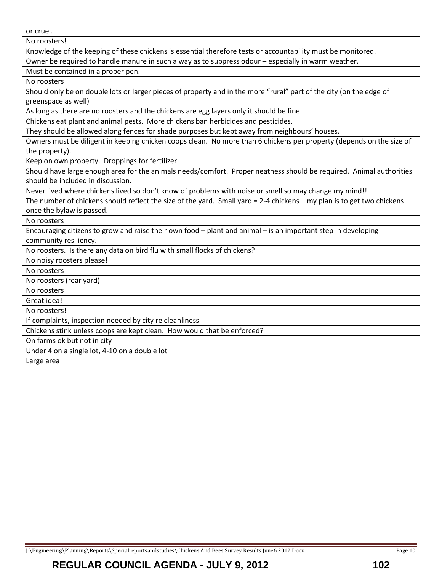or cruel.

No roosters!

Knowledge of the keeping of these chickens is essential therefore tests or accountability must be monitored.

Owner be required to handle manure in such a way as to suppress odour – especially in warm weather.

Must be contained in a proper pen.

No roosters

Should only be on double lots or larger pieces of property and in the more "rural" part of the city (on the edge of greenspace as well)

As long as there are no roosters and the chickens are egg layers only it should be fine

Chickens eat plant and animal pests. More chickens ban herbicides and pesticides.

They should be allowed along fences for shade purposes but kept away from neighbours' houses.

Owners must be diligent in keeping chicken coops clean. No more than 6 chickens per property (depends on the size of the property).

Keep on own property. Droppings for fertilizer

Should have large enough area for the animals needs/comfort. Proper neatness should be required. Animal authorities should be included in discussion.

Never lived where chickens lived so don't know of problems with noise or smell so may change my mind!!

The number of chickens should reflect the size of the yard. Small yard = 2-4 chickens – my plan is to get two chickens once the bylaw is passed.

No roosters

Encouraging citizens to grow and raise their own food – plant and animal – is an important step in developing community resiliency.

No roosters. Is there any data on bird flu with small flocks of chickens?

No noisy roosters please!

No roosters

No roosters (rear yard)

No roosters

Great idea!

No roosters!

If complaints, inspection needed by city re cleanliness

Chickens stink unless coops are kept clean. How would that be enforced?

On farms ok but not in city

Under 4 on a single lot, 4-10 on a double lot

Large area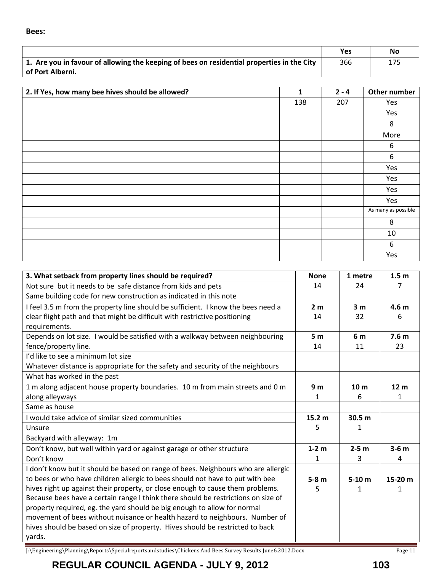|                                                                                            | Yes | <b>No</b> |
|--------------------------------------------------------------------------------------------|-----|-----------|
| 1. Are you in favour of allowing the keeping of bees on residential properties in the City | 366 | 175       |
| of Port Alberni.                                                                           |     |           |

| 2. If Yes, how many bee hives should be allowed? | 1   | $2 - 4$ | Other number        |
|--------------------------------------------------|-----|---------|---------------------|
|                                                  | 138 | 207     | Yes                 |
|                                                  |     |         | Yes                 |
|                                                  |     |         | 8                   |
|                                                  |     |         | More                |
|                                                  |     |         | 6                   |
|                                                  |     |         | 6                   |
|                                                  |     |         | Yes                 |
|                                                  |     |         | Yes                 |
|                                                  |     |         | Yes                 |
|                                                  |     |         | Yes                 |
|                                                  |     |         | As many as possible |
|                                                  |     |         | 8                   |
|                                                  |     |         | 10                  |
|                                                  |     |         | 6                   |
|                                                  |     |         | Yes                 |

| 3. What setback from property lines should be required?                           | <b>None</b>       | 1 metre         | 1.5 <sub>m</sub> |
|-----------------------------------------------------------------------------------|-------------------|-----------------|------------------|
| Not sure but it needs to be safe distance from kids and pets                      | 14                | 24              | 7                |
| Same building code for new construction as indicated in this note                 |                   |                 |                  |
| I feel 3.5 m from the property line should be sufficient. I know the bees need a  | 2 <sub>m</sub>    | 3 <sub>m</sub>  | 4.6 <sub>m</sub> |
| clear flight path and that might be difficult with restrictive positioning        | 14                | 32              | 6                |
| requirements.                                                                     |                   |                 |                  |
| Depends on lot size. I would be satisfied with a walkway between neighbouring     | 5 <sub>m</sub>    | 6 m             | 7.6 <sub>m</sub> |
| fence/property line.                                                              | 14                | 11              | 23               |
| I'd like to see a minimum lot size                                                |                   |                 |                  |
| Whatever distance is appropriate for the safety and security of the neighbours    |                   |                 |                  |
| What has worked in the past                                                       |                   |                 |                  |
| 1 m along adjacent house property boundaries. 10 m from main streets and 0 m      | 9 <sub>m</sub>    | 10 <sub>m</sub> | 12 <sub>m</sub>  |
| along alleyways                                                                   | 1                 | 6               | 1                |
| Same as house                                                                     |                   |                 |                  |
| I would take advice of similar sized communities                                  | 15.2 <sub>m</sub> | 30.5 m          |                  |
| Unsure                                                                            | 5                 | 1               |                  |
| Backyard with alleyway: 1m                                                        |                   |                 |                  |
| Don't know, but well within yard or against garage or other structure             | $1-2$ m           | $2-5$ m         | $3-6$ m          |
| Don't know                                                                        | 1                 | 3               | 4                |
| I don't know but it should be based on range of bees. Neighbours who are allergic |                   |                 |                  |
| to bees or who have children allergic to bees should not have to put with bee     | $5-8m$            | $5-10 m$        | 15-20 m          |
| hives right up against their property, or close enough to cause them problems.    | 5                 | 1               |                  |
| Because bees have a certain range I think there should be restrictions on size of |                   |                 |                  |
| property required, eg. the yard should be big enough to allow for normal          |                   |                 |                  |
| movement of bees without nuisance or health hazard to neighbours. Number of       |                   |                 |                  |
| hives should be based on size of property. Hives should be restricted to back     |                   |                 |                  |
| yards.                                                                            |                   |                 |                  |

J:\Engineering\Planning\Reports\Specialreportsandstudies\Chickens And Bees Survey Results June6.2012.Docx Page 11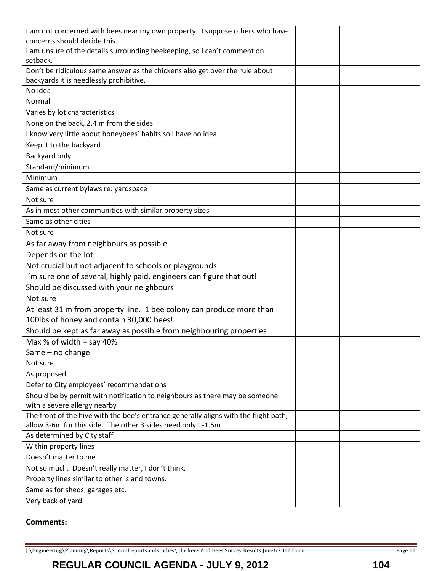| I am not concerned with bees near my own property. I suppose others who have         |  |  |
|--------------------------------------------------------------------------------------|--|--|
| concerns should decide this.                                                         |  |  |
| I am unsure of the details surrounding beekeeping, so I can't comment on             |  |  |
| setback.                                                                             |  |  |
| Don't be ridiculous same answer as the chickens also get over the rule about         |  |  |
| backyards it is needlessly prohibitive.                                              |  |  |
| No idea                                                                              |  |  |
| Normal                                                                               |  |  |
| Varies by lot characteristics                                                        |  |  |
| None on the back, 2.4 m from the sides                                               |  |  |
| I know very little about honeybees' habits so I have no idea                         |  |  |
| Keep it to the backyard                                                              |  |  |
| Backyard only                                                                        |  |  |
| Standard/minimum                                                                     |  |  |
| Minimum                                                                              |  |  |
| Same as current bylaws re: yardspace                                                 |  |  |
| Not sure                                                                             |  |  |
| As in most other communities with similar property sizes                             |  |  |
| Same as other cities                                                                 |  |  |
| Not sure                                                                             |  |  |
| As far away from neighbours as possible                                              |  |  |
| Depends on the lot                                                                   |  |  |
| Not crucial but not adjacent to schools or playgrounds                               |  |  |
| I'm sure one of several, highly paid, engineers can figure that out!                 |  |  |
| Should be discussed with your neighbours                                             |  |  |
| Not sure                                                                             |  |  |
| At least 31 m from property line. 1 bee colony can produce more than                 |  |  |
| 100lbs of honey and contain 30,000 bees!                                             |  |  |
| Should be kept as far away as possible from neighbouring properties                  |  |  |
| Max % of width $-$ say 40%                                                           |  |  |
| Same - no change                                                                     |  |  |
| Not sure                                                                             |  |  |
| As proposed                                                                          |  |  |
| Defer to City employees' recommendations                                             |  |  |
| Should be by permit with notification to neighbours as there may be someone          |  |  |
| with a severe allergy nearby                                                         |  |  |
| The front of the hive with the bee's entrance generally aligns with the flight path; |  |  |
| allow 3-6m for this side. The other 3 sides need only 1-1.5m                         |  |  |
| As determined by City staff                                                          |  |  |
| Within property lines                                                                |  |  |
| Doesn't matter to me                                                                 |  |  |
| Not so much. Doesn't really matter, I don't think.                                   |  |  |
| Property lines similar to other island towns.                                        |  |  |
| Same as for sheds, garages etc.                                                      |  |  |
| Very back of yard.                                                                   |  |  |

# **Comments:**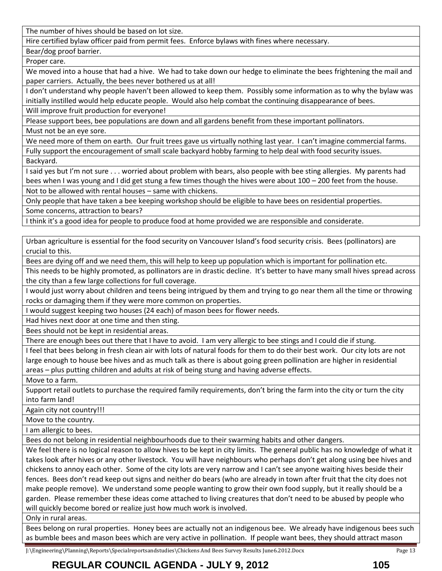The number of hives should be based on lot size.

Hire certified bylaw officer paid from permit fees. Enforce bylaws with fines where necessary.

Bear/dog proof barrier.

Proper care.

We moved into a house that had a hive. We had to take down our hedge to eliminate the bees frightening the mail and paper carriers. Actually, the bees never bothered us at all!

I don't understand why people haven't been allowed to keep them. Possibly some information as to why the bylaw was initially instilled would help educate people. Would also help combat the continuing disappearance of bees.

Will improve fruit production for everyone!

Please support bees, bee populations are down and all gardens benefit from these important pollinators.

Must not be an eye sore.

We need more of them on earth. Our fruit trees gave us virtually nothing last year. I can't imagine commercial farms. Fully support the encouragement of small scale backyard hobby farming to help deal with food security issues.

Backyard.

I said yes but I'm not sure . . . worried about problem with bears, also people with bee sting allergies. My parents had bees when I was young and I did get stung a few times though the hives were about 100 – 200 feet from the house.

Not to be allowed with rental houses – same with chickens.

Only people that have taken a bee keeping workshop should be eligible to have bees on residential properties.

Some concerns, attraction to bears?

I think it's a good idea for people to produce food at home provided we are responsible and considerate.

Urban agriculture is essential for the food security on Vancouver Island's food security crisis. Bees (pollinators) are crucial to this.

Bees are dying off and we need them, this will help to keep up population which is important for pollination etc.

This needs to be highly promoted, as pollinators are in drastic decline. It's better to have many small hives spread across the city than a few large collections for full coverage.

I would just worry about children and teens being intrigued by them and trying to go near them all the time or throwing rocks or damaging them if they were more common on properties.

I would suggest keeping two houses (24 each) of mason bees for flower needs.

Had hives next door at one time and then sting.

Bees should not be kept in residential areas.

There are enough bees out there that I have to avoid. I am very allergic to bee stings and I could die if stung.

I feel that bees belong in fresh clean air with lots of natural foods for them to do their best work. Our city lots are not large enough to house bee hives and as much talk as there is about going green pollination are higher in residential areas – plus putting children and adults at risk of being stung and having adverse effects.

Move to a farm.

Support retail outlets to purchase the required family requirements, don't bring the farm into the city or turn the city into farm land!

Again city not country!!!

Move to the country.

I am allergic to bees.

Bees do not belong in residential neighbourhoods due to their swarming habits and other dangers.

We feel there is no logical reason to allow hives to be kept in city limits. The general public has no knowledge of what it takes look after hives or any other livestock. You will have neighbours who perhaps don't get along using bee hives and chickens to annoy each other. Some of the city lots are very narrow and I can't see anyone waiting hives beside their fences. Bees don't read keep out signs and neither do bears (who are already in town after fruit that the city does not make people remove). We understand some people wanting to grow their own food supply, but it really should be a garden. Please remember these ideas come attached to living creatures that don't need to be abused by people who will quickly become bored or realize just how much work is involved.

Only in rural areas.

Bees belong on rural properties. Honey bees are actually not an indigenous bee. We already have indigenous bees such as bumble bees and mason bees which are very active in pollination. If people want bees, they should attract mason

J:\Engineering\Planning\Reports\Specialreportsandstudies\Chickens And Bees Survey Results June6.2012.Docx Page 13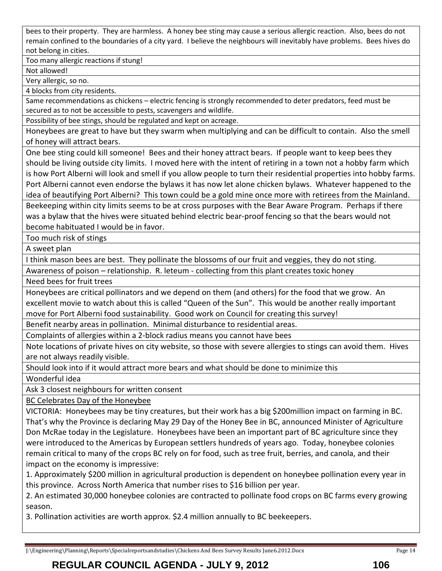bees to their property. They are harmless. A honey bee sting may cause a serious allergic reaction. Also, bees do not remain confined to the boundaries of a city yard. I believe the neighbours will inevitably have problems. Bees hives do not belong in cities.

Too many allergic reactions if stung!

Not allowed!

Very allergic, so no.

4 blocks from city residents.

Same recommendations as chickens – electric fencing is strongly recommended to deter predators, feed must be secured as to not be accessible to pests, scavengers and wildlife.

Possibility of bee stings, should be regulated and kept on acreage.

Honeybees are great to have but they swarm when multiplying and can be difficult to contain. Also the smell of honey will attract bears.

One bee sting could kill someone! Bees and their honey attract bears. If people want to keep bees they should be living outside city limits. I moved here with the intent of retiring in a town not a hobby farm which is how Port Alberni will look and smell if you allow people to turn their residential properties into hobby farms. Port Alberni cannot even endorse the bylaws it has now let alone chicken bylaws. Whatever happened to the idea of beautifying Port Alberni? This town could be a gold mine once more with retirees from the Mainland.

Beekeeping within city limits seems to be at cross purposes with the Bear Aware Program. Perhaps if there was a bylaw that the hives were situated behind electric bear-proof fencing so that the bears would not become habituated I would be in favor.

Too much risk of stings

A sweet plan

I think mason bees are best. They pollinate the blossoms of our fruit and veggies, they do not sting.

Awareness of poison – relationship. R. leteum - collecting from this plant creates toxic honey

Need bees for fruit trees

Honeybees are critical pollinators and we depend on them (and others) for the food that we grow. An excellent movie to watch about this is called "Queen of the Sun". This would be another really important move for Port Alberni food sustainability. Good work on Council for creating this survey!

Benefit nearby areas in pollination. Minimal disturbance to residential areas.

Complaints of allergies within a 2-block radius means you cannot have bees

Note locations of private hives on city website, so those with severe allergies to stings can avoid them. Hives are not always readily visible.

Should look into if it would attract more bears and what should be done to minimize this

Wonderful idea

Ask 3 closest neighbours for written consent

BC Celebrates Day of the Honeybee

VICTORIA: Honeybees may be tiny creatures, but their work has a big \$200million impact on farming in BC. That's why the Province is declaring May 29 Day of the Honey Bee in BC, announced Minister of Agriculture Don McRae today in the Legislature. Honeybees have been an important part of BC agriculture since they were introduced to the Americas by European settlers hundreds of years ago. Today, honeybee colonies remain critical to many of the crops BC rely on for food, such as tree fruit, berries, and canola, and their impact on the economy is impressive:

1. Approximately \$200 million in agricultural production is dependent on honeybee pollination every year in this province. Across North America that number rises to \$16 billion per year.

2. An estimated 30,000 honeybee colonies are contracted to pollinate food crops on BC farms every growing season.

3. Pollination activities are worth approx. \$2.4 million annually to BC beekeepers.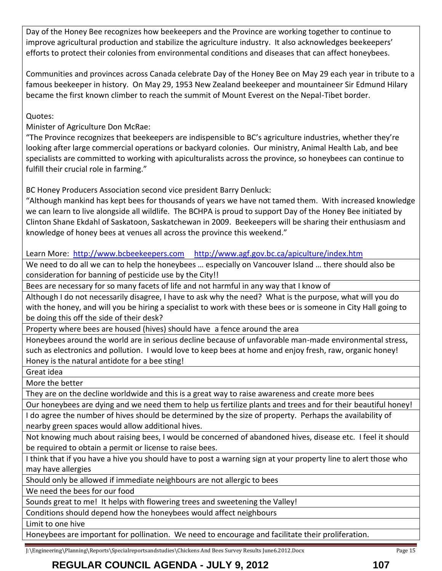Day of the Honey Bee recognizes how beekeepers and the Province are working together to continue to improve agricultural production and stabilize the agriculture industry. It also acknowledges beekeepers' efforts to protect their colonies from environmental conditions and diseases that can affect honeybees.

Communities and provinces across Canada celebrate Day of the Honey Bee on May 29 each year in tribute to a famous beekeeper in history. On May 29, 1953 New Zealand beekeeper and mountaineer Sir Edmund Hilary became the first known climber to reach the summit of Mount Everest on the Nepal-Tibet border.

Quotes:

Minister of Agriculture Don McRae:

"The Province recognizes that beekeepers are indispensible to BC's agriculture industries, whether they're looking after large commercial operations or backyard colonies. Our ministry, Animal Health Lab, and bee specialists are committed to working with apiculturalists across the province, so honeybees can continue to fulfill their crucial role in farming."

BC Honey Producers Association second vice president Barry Denluck:

"Although mankind has kept bees for thousands of years we have not tamed them. With increased knowledge we can learn to live alongside all wildlife. The BCHPA is proud to support Day of the Honey Bee initiated by Clinton Shane Ekdahl of Saskatoon, Saskatchewan in 2009. Beekeepers will be sharing their enthusiasm and knowledge of honey bees at venues all across the province this weekend."

Learn More: [http://www.bcbeekeepers.com](http://www.bcbeekeepers.com/) <http://www.agf.gov.bc.ca/apiculture/index.htm>

We need to do all we can to help the honeybees … especially on Vancouver Island … there should also be consideration for banning of pesticide use by the City!!

Bees are necessary for so many facets of life and not harmful in any way that I know of

Although I do not necessarily disagree, I have to ask why the need? What is the purpose, what will you do with the honey, and will you be hiring a specialist to work with these bees or is someone in City Hall going to be doing this off the side of their desk?

Property where bees are housed (hives) should have a fence around the area

Honeybees around the world are in serious decline because of unfavorable man-made environmental stress, such as electronics and pollution. I would love to keep bees at home and enjoy fresh, raw, organic honey! Honey is the natural antidote for a bee sting!

Great idea

More the better

They are on the decline worldwide and this is a great way to raise awareness and create more bees

Our honeybees are dying and we need them to help us fertilize plants and trees and for their beautiful honey!

I do agree the number of hives should be determined by the size of property. Perhaps the availability of nearby green spaces would allow additional hives.

Not knowing much about raising bees, I would be concerned of abandoned hives, disease etc. I feel it should be required to obtain a permit or license to raise bees.

I think that if you have a hive you should have to post a warning sign at your property line to alert those who may have allergies

Should only be allowed if immediate neighbours are not allergic to bees

We need the bees for our food

Sounds great to me! It helps with flowering trees and sweetening the Valley!

Conditions should depend how the honeybees would affect neighbours

Limit to one hive

Honeybees are important for pollination. We need to encourage and facilitate their proliferation.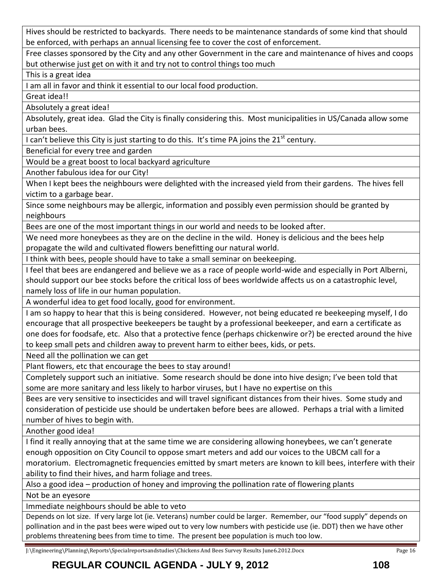Hives should be restricted to backyards. There needs to be maintenance standards of some kind that should be enforced, with perhaps an annual licensing fee to cover the cost of enforcement.

Free classes sponsored by the City and any other Government in the care and maintenance of hives and coops but otherwise just get on with it and try not to control things too much

This is a great idea

I am all in favor and think it essential to our local food production.

Great idea!!

Absolutely a great idea!

Absolutely, great idea. Glad the City is finally considering this. Most municipalities in US/Canada allow some urban bees.

I can't believe this City is just starting to do this. It's time PA joins the 21<sup>st</sup> century.

Beneficial for every tree and garden

Would be a great boost to local backyard agriculture

Another fabulous idea for our City!

When I kept bees the neighbours were delighted with the increased yield from their gardens. The hives fell victim to a garbage bear.

Since some neighbours may be allergic, information and possibly even permission should be granted by neighbours

Bees are one of the most important things in our world and needs to be looked after.

We need more honeybees as they are on the decline in the wild. Honey is delicious and the bees help propagate the wild and cultivated flowers benefitting our natural world.

I think with bees, people should have to take a small seminar on beekeeping.

I feel that bees are endangered and believe we as a race of people world-wide and especially in Port Alberni, should support our bee stocks before the critical loss of bees worldwide affects us on a catastrophic level, namely loss of life in our human population.

A wonderful idea to get food locally, good for environment.

I am so happy to hear that this is being considered. However, not being educated re beekeeping myself, I do encourage that all prospective beekeepers be taught by a professional beekeeper, and earn a certificate as one does for foodsafe, etc. Also that a protective fence (perhaps chickenwire or?) be erected around the hive to keep small pets and children away to prevent harm to either bees, kids, or pets.

Need all the pollination we can get

Plant flowers, etc that encourage the bees to stay around!

Completely support such an initiative. Some research should be done into hive design; I've been told that some are more sanitary and less likely to harbor viruses, but I have no expertise on this

Bees are very sensitive to insecticides and will travel significant distances from their hives. Some study and consideration of pesticide use should be undertaken before bees are allowed. Perhaps a trial with a limited number of hives to begin with.

Another good idea!

I find it really annoying that at the same time we are considering allowing honeybees, we can't generate enough opposition on City Council to oppose smart meters and add our voices to the UBCM call for a moratorium. Electromagnetic frequencies emitted by smart meters are known to kill bees, interfere with their ability to find their hives, and harm foliage and trees.

Also a good idea – production of honey and improving the pollination rate of flowering plants

Not be an eyesore

Immediate neighbours should be able to veto

Depends on lot size. If very large lot (ie. Veterans) number could be larger. Remember, our "food supply" depends on pollination and in the past bees were wiped out to very low numbers with pesticide use (ie. DDT) then we have other problems threatening bees from time to time. The present bee population is much too low.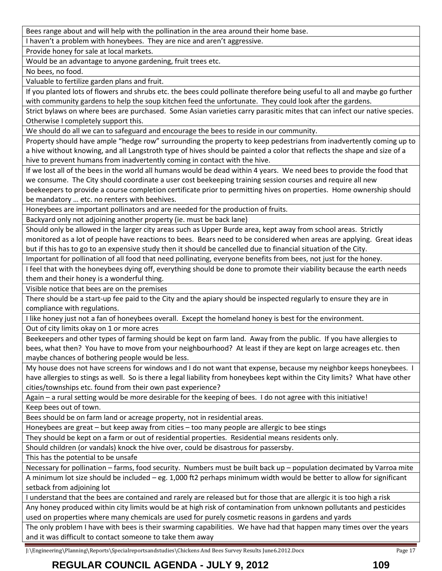Bees range about and will help with the pollination in the area around their home base.

I haven't a problem with honeybees. They are nice and aren't aggressive.

Provide honey for sale at local markets.

Would be an advantage to anyone gardening, fruit trees etc.

No bees, no food.

Valuable to fertilize garden plans and fruit.

If you planted lots of flowers and shrubs etc. the bees could pollinate therefore being useful to all and maybe go further with community gardens to help the soup kitchen feed the unfortunate. They could look after the gardens.

Strict bylaws on where bees are purchased. Some Asian varieties carry parasitic mites that can infect our native species. Otherwise I completely support this.

We should do all we can to safeguard and encourage the bees to reside in our community.

Property should have ample "hedge row" surrounding the property to keep pedestrians from inadvertently coming up to a hive without knowing, and all Langstroth type of hives should be painted a color that reflects the shape and size of a hive to prevent humans from inadvertently coming in contact with the hive.

If we lost all of the bees in the world all humans would be dead within 4 years. We need bees to provide the food that we consume. The City should coordinate a user cost beekeeping training session courses and require all new beekeepers to provide a course completion certificate prior to permitting hives on properties. Home ownership should be mandatory … etc. no renters with beehives.

Honeybees are important pollinators and are needed for the production of fruits.

Backyard only not adjoining another property (ie. must be back lane)

Should only be allowed in the larger city areas such as Upper Burde area, kept away from school areas. Strictly monitored as a lot of people have reactions to bees. Bears need to be considered when areas are applying. Great ideas but if this has to go to an expensive study then it should be cancelled due to financial situation of the City.

Important for pollination of all food that need pollinating, everyone benefits from bees, not just for the honey.

I feel that with the honeybees dying off, everything should be done to promote their viability because the earth needs them and their honey is a wonderful thing.

Visible notice that bees are on the premises

There should be a start-up fee paid to the City and the apiary should be inspected regularly to ensure they are in compliance with regulations.

I like honey just not a fan of honeybees overall. Except the homeland honey is best for the environment.

Out of city limits okay on 1 or more acres

Beekeepers and other types of farming should be kept on farm land. Away from the public. If you have allergies to bees, what then? You have to move from your neighbourhood? At least if they are kept on large acreages etc. then maybe chances of bothering people would be less.

My house does not have screens for windows and I do not want that expense, because my neighbor keeps honeybees. I have allergies to stings as well. So is there a legal liability from honeybees kept within the City limits? What have other cities/townships etc. found from their own past experience?

Again – a rural setting would be more desirable for the keeping of bees. I do not agree with this initiative! Keep bees out of town.

Bees should be on farm land or acreage property, not in residential areas.

Honeybees are great – but keep away from cities – too many people are allergic to bee stings

They should be kept on a farm or out of residential properties. Residential means residents only.

Should children (or vandals) knock the hive over, could be disastrous for passersby.

This has the potential to be unsafe

Necessary for pollination – farms, food security. Numbers must be built back up – population decimated by Varroa mite A minimum lot size should be included – eg. 1,000 ft2 perhaps minimum width would be better to allow for significant setback from adjoining lot

I understand that the bees are contained and rarely are released but for those that are allergic it is too high a risk

Any honey produced within city limits would be at high risk of contamination from unknown pollutants and pesticides used on properties where many chemicals are used for purely cosmetic reasons in gardens and yards

The only problem I have with bees is their swarming capabilities. We have had that happen many times over the years and it was difficult to contact someone to take them away

J:\Engineering\Planning\Reports\Specialreportsandstudies\Chickens And Bees Survey Results June6.2012.Docx Page 17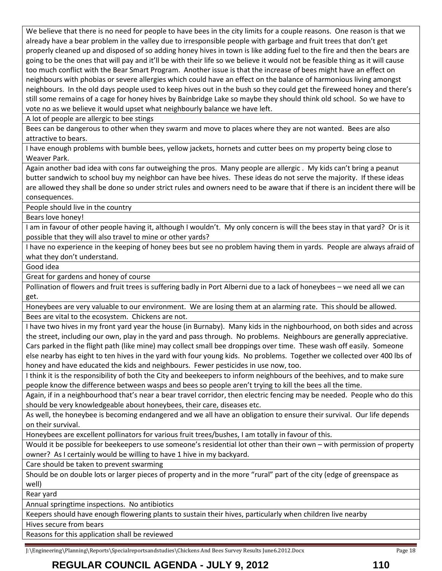We believe that there is no need for people to have bees in the city limits for a couple reasons. One reason is that we already have a bear problem in the valley due to irresponsible people with garbage and fruit trees that don't get properly cleaned up and disposed of so adding honey hives in town is like adding fuel to the fire and then the bears are going to be the ones that will pay and it'll be with their life so we believe it would not be feasible thing as it will cause too much conflict with the Bear Smart Program. Another issue is that the increase of bees might have an effect on neighbours with phobias or severe allergies which could have an effect on the balance of harmonious living amongst neighbours. In the old days people used to keep hives out in the bush so they could get the fireweed honey and there's still some remains of a cage for honey hives by Bainbridge Lake so maybe they should think old school. So we have to vote no as we believe it would upset what neighbourly balance we have left.

A lot of people are allergic to bee stings

Bees can be dangerous to other when they swarm and move to places where they are not wanted. Bees are also attractive to bears.

I have enough problems with bumble bees, yellow jackets, hornets and cutter bees on my property being close to Weaver Park.

Again another bad idea with cons far outweighing the pros. Many people are allergic . My kids can't bring a peanut butter sandwich to school buy my neighbor can have bee hives. These ideas do not serve the majority. If these ideas are allowed they shall be done so under strict rules and owners need to be aware that if there is an incident there will be consequences.

People should live in the country

Bears love honey!

I am in favour of other people having it, although I wouldn't. My only concern is will the bees stay in that yard? Or is it possible that they will also travel to mine or other yards?

I have no experience in the keeping of honey bees but see no problem having them in yards. People are always afraid of what they don't understand.

Good idea

Great for gardens and honey of course

Pollination of flowers and fruit trees is suffering badly in Port Alberni due to a lack of honeybees – we need all we can get.

Honeybees are very valuable to our environment. We are losing them at an alarming rate. This should be allowed. Bees are vital to the ecosystem. Chickens are not.

I have two hives in my front yard year the house (in Burnaby). Many kids in the nighbourhood, on both sides and across the street, including our own, play in the yard and pass through. No problems. Neighbours are generally appreciative. Cars parked in the flight path (like mine) may collect small bee droppings over time. These wash off easily. Someone else nearby has eight to ten hives in the yard with four young kids. No problems. Together we collected over 400 lbs of honey and have educated the kids and neighbours. Fewer pesticides in use now, too.

I think it is the responsibility of both the City and beekeepers to inform neighbours of the beehives, and to make sure people know the difference between wasps and bees so people aren't trying to kill the bees all the time.

Again, if in a neighbourhood that's near a bear travel corridor, then electric fencing may be needed. People who do this should be very knowledgeable about honeybees, their care, diseases etc.

As well, the honeybee is becoming endangered and we all have an obligation to ensure their survival. Our life depends on their survival.

Honeybees are excellent pollinators for various fruit trees/bushes, I am totally in favour of this.

Would it be possible for beekeepers to use someone's residential lot other than their own – with permission of property owner? As I certainly would be willing to have 1 hive in my backyard.

Care should be taken to prevent swarming

Should be on double lots or larger pieces of property and in the more "rural" part of the city (edge of greenspace as well)

Rear yard

Annual springtime inspections. No antibiotics

Keepers should have enough flowering plants to sustain their hives, particularly when children live nearby

Hives secure from bears

Reasons for this application shall be reviewed